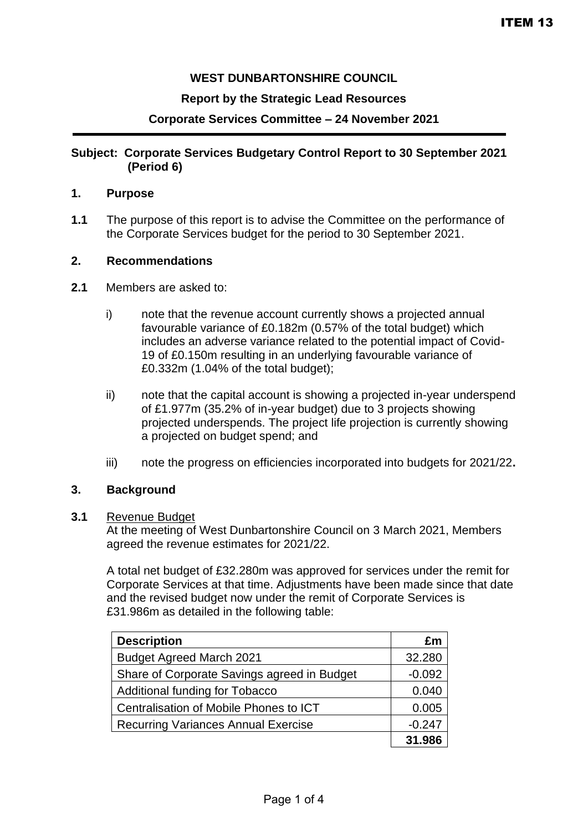# **WEST DUNBARTONSHIRE COUNCIL**

## **Report by the Strategic Lead Resources**

## **Corporate Services Committee – 24 November 2021**

## **Subject: Corporate Services Budgetary Control Report to 30 September 2021 (Period 6)**

## **1. Purpose**

**1.1** The purpose of this report is to advise the Committee on the performance of the Corporate Services budget for the period to 30 September 2021.

### **2. Recommendations**

- **2.1** Members are asked to:
	- i) note that the revenue account currently shows a projected annual favourable variance of £0.182m (0.57% of the total budget) which includes an adverse variance related to the potential impact of Covid-19 of £0.150m resulting in an underlying favourable variance of £0.332m (1.04% of the total budget);
	- ii) note that the capital account is showing a projected in-year underspend of £1.977m (35.2% of in-year budget) due to 3 projects showing projected underspends. The project life projection is currently showing a projected on budget spend; and
	- iii) note the progress on efficiencies incorporated into budgets for 2021/22**.**

#### **3. Background**

#### **3.1** Revenue Budget

At the meeting of West Dunbartonshire Council on 3 March 2021, Members agreed the revenue estimates for 2021/22.

A total net budget of £32.280m was approved for services under the remit for Corporate Services at that time. Adjustments have been made since that date and the revised budget now under the remit of Corporate Services is £31.986m as detailed in the following table:

| <b>Description</b>                          | £m       |
|---------------------------------------------|----------|
| <b>Budget Agreed March 2021</b>             | 32.280   |
| Share of Corporate Savings agreed in Budget | $-0.092$ |
| Additional funding for Tobacco              | 0.040    |
| Centralisation of Mobile Phones to ICT      | 0.005    |
| <b>Recurring Variances Annual Exercise</b>  | $-0.247$ |
|                                             | 31.986   |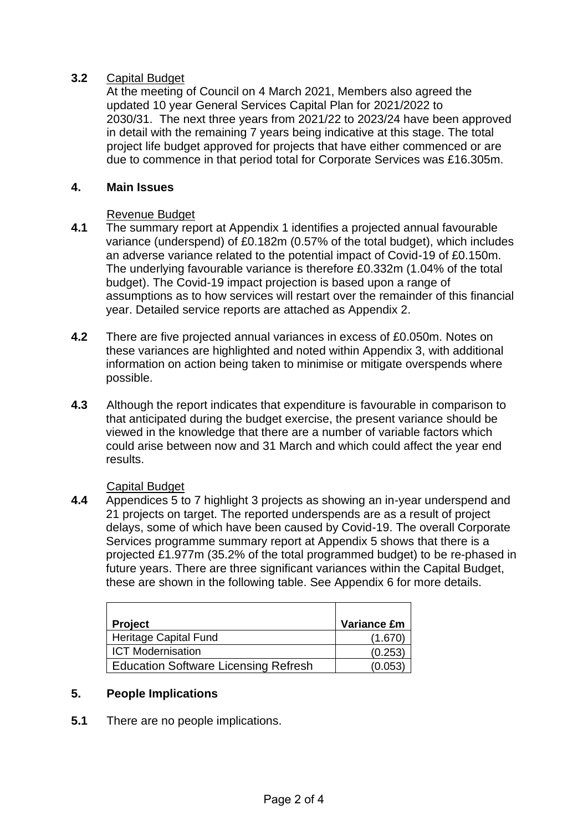# **3.2** Capital Budget

At the meeting of Council on 4 March 2021, Members also agreed the updated 10 year General Services Capital Plan for 2021/2022 to 2030/31. The next three years from 2021/22 to 2023/24 have been approved in detail with the remaining 7 years being indicative at this stage. The total project life budget approved for projects that have either commenced or are due to commence in that period total for Corporate Services was £16.305m.

## **4. Main Issues**

### Revenue Budget

- **4.1** The summary report at Appendix 1 identifies a projected annual favourable variance (underspend) of £0.182m (0.57% of the total budget), which includes an adverse variance related to the potential impact of Covid-19 of £0.150m. The underlying favourable variance is therefore £0.332m (1.04% of the total budget). The Covid-19 impact projection is based upon a range of assumptions as to how services will restart over the remainder of this financial year. Detailed service reports are attached as Appendix 2.
- **4.2** There are five projected annual variances in excess of £0.050m. Notes on these variances are highlighted and noted within Appendix 3, with additional information on action being taken to minimise or mitigate overspends where possible.
- **4.3** Although the report indicates that expenditure is favourable in comparison to that anticipated during the budget exercise, the present variance should be viewed in the knowledge that there are a number of variable factors which could arise between now and 31 March and which could affect the year end results.

## Capital Budget

**4.4** Appendices 5 to 7 highlight 3 projects as showing an in-year underspend and 21 projects on target. The reported underspends are as a result of project delays, some of which have been caused by Covid-19. The overall Corporate Services programme summary report at Appendix 5 shows that there is a projected £1.977m (35.2% of the total programmed budget) to be re-phased in future years. There are three significant variances within the Capital Budget, these are shown in the following table. See Appendix 6 for more details.

| <b>Project</b>                              | <b>Variance £m</b> |
|---------------------------------------------|--------------------|
| Heritage Capital Fund                       | (1.670)            |
| <b>ICT Modernisation</b>                    | (0.253)            |
| <b>Education Software Licensing Refresh</b> | (0.053)            |

## **5. People Implications**

**5.1** There are no people implications.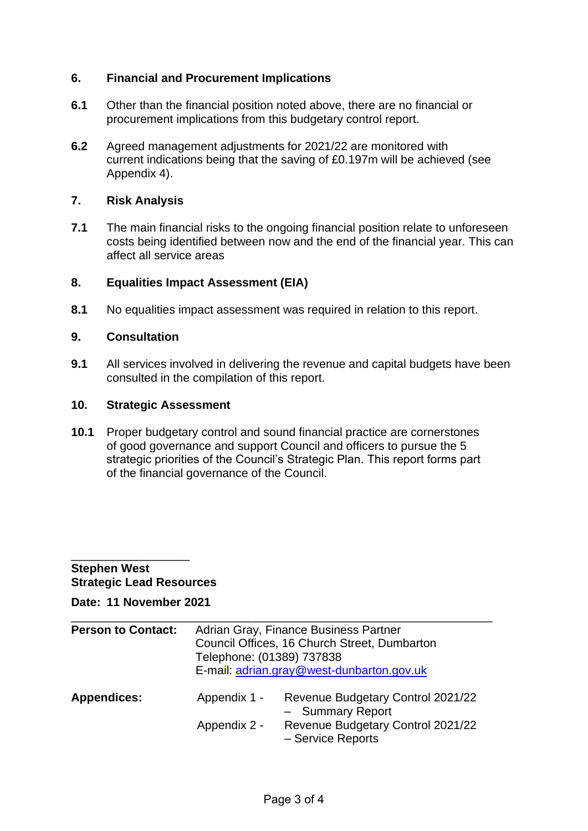## **6. Financial and Procurement Implications**

- **6.1** Other than the financial position noted above, there are no financial or procurement implications from this budgetary control report.
- **6.2** Agreed management adjustments for 2021/22 are monitored with current indications being that the saving of £0.197m will be achieved (see Appendix 4).

## **7. Risk Analysis**

**7.1** The main financial risks to the ongoing financial position relate to unforeseen costs being identified between now and the end of the financial year. This can affect all service areas

## **8. Equalities Impact Assessment (EIA)**

**8.1** No equalities impact assessment was required in relation to this report.

## **9. Consultation**

**9.1** All services involved in delivering the revenue and capital budgets have been consulted in the compilation of this report.

#### **10. Strategic Assessment**

**10.1** Proper budgetary control and sound financial practice are cornerstones of good governance and support Council and officers to pursue the 5 strategic priorities of the Council's Strategic Plan. This report forms part of the financial governance of the Council.

### \_\_\_\_\_\_\_\_\_\_\_\_\_\_\_\_\_\_ **Stephen West Strategic Lead Resources**

**Date: 11 November 2021**

| <b>Person to Contact:</b> | Adrian Gray, Finance Business Partner<br>Council Offices, 16 Church Street, Dumbarton<br>Telephone: (01389) 737838<br>E-mail: adrian.gray@west-dunbarton.gov.uk |                                                                                                                 |
|---------------------------|-----------------------------------------------------------------------------------------------------------------------------------------------------------------|-----------------------------------------------------------------------------------------------------------------|
| <b>Appendices:</b>        | Appendix 1 -<br>Appendix 2 -                                                                                                                                    | Revenue Budgetary Control 2021/22<br>- Summary Report<br>Revenue Budgetary Control 2021/22<br>- Service Reports |

\_\_\_\_\_\_\_\_\_\_\_\_\_\_\_\_\_\_\_\_\_\_\_\_\_\_\_\_\_\_\_\_\_\_\_\_\_\_\_\_\_\_\_\_\_\_\_\_\_\_\_\_\_\_\_\_\_\_\_\_\_\_\_\_